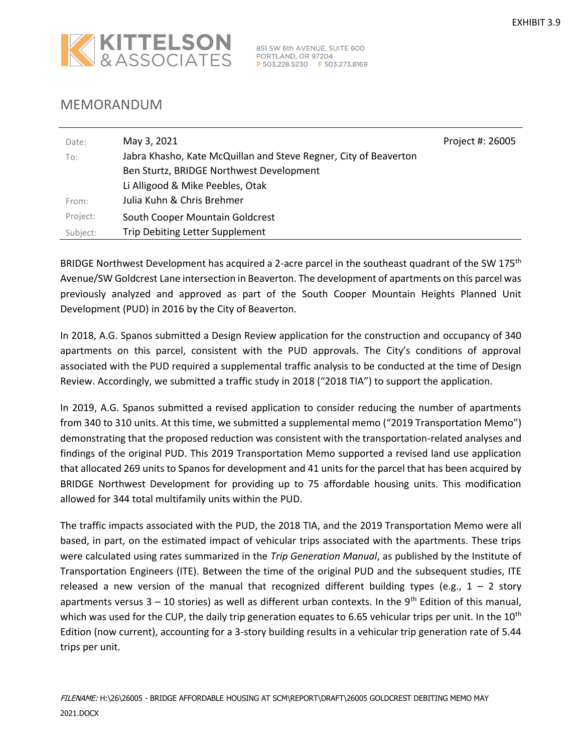

851 SW 6th AVENUE, SUITE 600<br>PORTLAND, OR 97204<br><mark>P</mark> 503.228.5230 **F** 503.273.8169

## MEMORANDUM

| Date:    | May 3, 2021                                                      | Project #: 26005 |
|----------|------------------------------------------------------------------|------------------|
| To:      | Jabra Khasho, Kate McQuillan and Steve Regner, City of Beaverton |                  |
|          | Ben Sturtz, BRIDGE Northwest Development                         |                  |
|          | Li Alligood & Mike Peebles, Otak                                 |                  |
| From:    | Julia Kuhn & Chris Brehmer                                       |                  |
| Project: | South Cooper Mountain Goldcrest                                  |                  |
| Subject: | Trip Debiting Letter Supplement                                  |                  |

BRIDGE Northwest Development has acquired a 2-acre parcel in the southeast quadrant of the SW 175<sup>th</sup> Avenue/SW Goldcrest Lane intersection in Beaverton. The development of apartments on this parcel was previously analyzed and approved as part of the South Cooper Mountain Heights Planned Unit Development (PUD) in 2016 by the City of Beaverton.

In 2018, A.G. Spanos submitted a Design Review application for the construction and occupancy of 340 apartments on this parcel, consistent with the PUD approvals. The City's conditions of approval associated with the PUD required a supplemental traffic analysis to be conducted at the time of Design Review. Accordingly, we submitted a traffic study in 2018 ("2018 TIA") to support the application.

In 2019, A.G. Spanos submitted a revised application to consider reducing the number of apartments from 340 to 310 units. At this time, we submitted a supplemental memo ("2019 Transportation Memo") demonstrating that the proposed reduction was consistent with the transportation-related analyses and findings of the original PUD. This 2019 Transportation Memo supported a revised land use application that allocated 269 units to Spanos for development and 41 units for the parcel that has been acquired by BRIDGE Northwest Development for providing up to 75 affordable housing units. This modification allowed for 344 total multifamily units within the PUD.

The traffic impacts associated with the PUD, the 2018 TIA, and the 2019 Transportation Memo were all based, in part, on the estimated impact of vehicular trips associated with the apartments. These trips were calculated using rates summarized in the *Trip Generation Manual*, as published by the Institute of Transportation Engineers (ITE). Between the time of the original PUD and the subsequent studies, ITE released a new version of the manual that recognized different building types (e.g.,  $1 - 2$  story apartments versus  $3 - 10$  stories) as well as different urban contexts. In the 9<sup>th</sup> Edition of this manual, which was used for the CUP, the daily trip generation equates to 6.65 vehicular trips per unit. In the  $10<sup>th</sup>$ Edition (now current), accounting for a 3-story building results in a vehicular trip generation rate of 5.44 trips per unit.